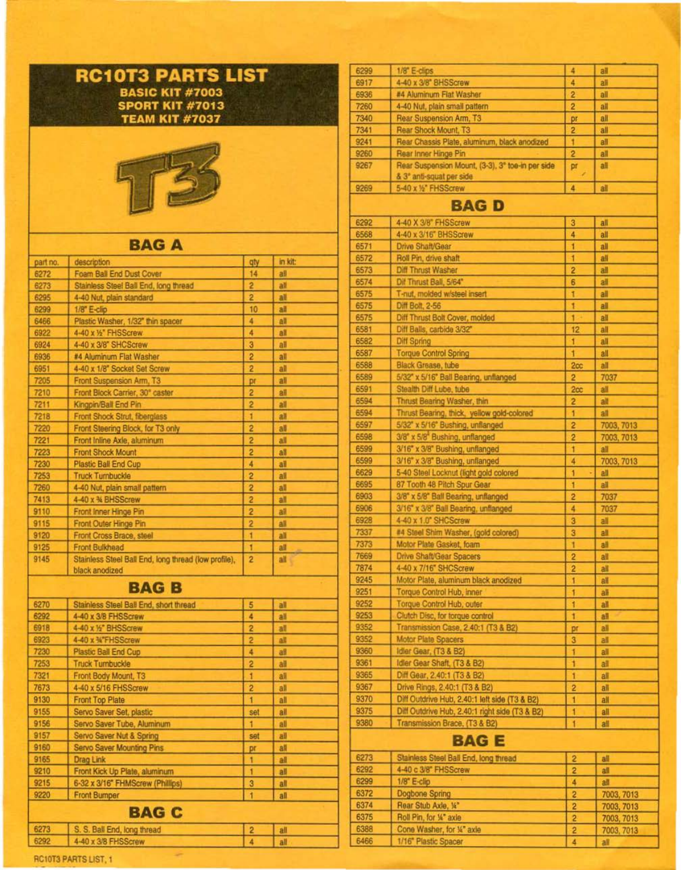## **RC1 OT3 PARTS LIST**  BASIC KIT #7003 SPORT KIT #7013 TEAM KIT #7037



## **BAGA**

| part no.     | description                                                            | qty            | in kit:    |
|--------------|------------------------------------------------------------------------|----------------|------------|
| 6272         | Foam Ball End Dust Cover                                               | 14             | all        |
| 6273         | Stainless Steel Ball End, long thread                                  | 2              | all        |
| 6295         | 4-40 Nut, plain standard                                               | 2              | all        |
| 6299         | 1/8" E-clip                                                            | 10             | all        |
| 6466         | Plastic Washer, 1/32" thin spacer                                      | 4              | all        |
| 6922         | 4-40 x 1/2" FHSScrew                                                   | 4              | all        |
| 6924         | 4-40 x 3/8" SHCScrew                                                   | 3              | all        |
| 6936         | #4 Aluminum Flat Washer                                                | 2              | all        |
| 6951         | 4-40 x 1/8" Socket Set Screw                                           | 2              | all        |
| 7205         | Front Suspension Arm, T3                                               | pr             | all        |
| 7210         | Front Block Carrier, 30° caster                                        | 2              | all        |
| 7211         | Kingpin/Ball End Pin                                                   | 2              | all        |
| 7218         | Front Shock Strut, fiberglass                                          | 1              | all        |
| 7220         | Front Steering Block, for T3 only                                      | 2              | all        |
| 7221         | Front Inline Axle, aluminum                                            | 2              | all        |
| 7223         | <b>Front Shock Mount</b>                                               | 2              | all        |
| 7230         | <b>Plastic Ball End Cup</b>                                            | 4              | all        |
| 7253         | <b>Truck Turnbuckle</b>                                                | $\overline{2}$ | all        |
| 7260         | 4-40 Nut, plain small pattern                                          | 2              | all        |
| 7413         | 4-40 x % BHSScrew                                                      | 2              | all        |
| 9110         | Front Inner Hinge Pin                                                  | 2              | all        |
| 9115         | Front Outer Hinge Pin                                                  | 2              | all        |
| 9120         | Front Cross Brace, steel                                               | 1              | all        |
| 9125         | <b>Front Bulkhead</b>                                                  | 1              | all        |
| 9145         | Stainless Steel Ball End, long thread (low profile),<br>black anodized | 2              | all        |
|              | <b>BAGB</b>                                                            |                |            |
| 6270         | Stainless Steel Ball End, short thread                                 | 5              | all        |
| 6292         | 4-40 x 3/8 FHSScrew                                                    | 4              | all        |
| 6918         | 4-40 x 1/2" BHSScrew                                                   | 2              | all        |
| 6923         | 4-40 x %"FHSScrew                                                      | $\overline{2}$ | all        |
| 7230         | Plastic Ball End Cup                                                   | 4              | all        |
| 7253         | <b>Truck Turnbuckle</b>                                                | 2              | all        |
| 7321         | Front Body Mount, T3                                                   | 1              | all        |
| 7673         | 4-40 x 5/16 FHSScrew                                                   | 2              | all        |
| 9130         | <b>Front Top Plate</b>                                                 | 1              | all        |
| 9155         | Servo Saver Set, plastic                                               | set            | all        |
| 9156         | Servo Saver Tube, Aluminum                                             | 1              | all        |
| 9157         | Servo Saver Nut & Spring                                               | set            | all        |
| 9160         |                                                                        |                |            |
|              |                                                                        |                | all        |
| 9165         | <b>Servo Saver Mounting Pins</b>                                       | pr<br>1        | all        |
| 9210         | Drag Link<br>Front Kick Up Plate, aluminum                             | 1              | all        |
| 9215         |                                                                        | 3              | all        |
| 9220         | 6-32 x 3/16" FHMScrew (Phillips)<br><b>Front Bumper</b>                | 1              | all        |
|              | <b>BAG C</b>                                                           |                |            |
|              |                                                                        |                |            |
| 6273<br>6292 | S. S. Ball End, long thread<br>4-40 x 3/8 FHSScrew                     | 2<br>4         | all<br>all |

÷

| 6299 | 1/8" E-clips                                     | 4               | all               |  |
|------|--------------------------------------------------|-----------------|-------------------|--|
| 6917 | 4-40 x 3/8" BHSScrew                             | 4               | all               |  |
| 6936 | #4 Aluminum Flat Washer                          | 2               | all               |  |
| 7260 | 4-40 Nut, plain small pattern                    | 2               | all               |  |
| 7340 | Rear Suspension Arm, T3                          | pr              | all               |  |
| 7341 | Rear Shock Mount, T3                             | 2               | all               |  |
| 9241 | Rear Chassis Plate, aluminum, black anodized     | 1               | all               |  |
| 9260 | Rear Inner Hinge Pin                             | $\overline{2}$  | all               |  |
| 9267 | Rear Suspension Mount, (3-3), 3° toe-in per side | pr              | all               |  |
|      | & 3° anti-squat per side                         |                 |                   |  |
| 9269 | 5-40 x 1/2" FHSScrew                             | 4               | all               |  |
|      |                                                  |                 |                   |  |
|      | <b>BAGD</b>                                      |                 |                   |  |
| 6292 | 4-40 X 3/8" FHSScrew                             | 3               | all               |  |
| 6568 | 4-40 x 3/16" BHSScrew                            | 4               | all               |  |
| 6571 | Drive Shaft/Gear                                 |                 | all               |  |
| 6572 | Roll Pin, drive shaft                            | 1               | all               |  |
| 6573 | Diff Thrust Washer                               | $\overline{2}$  | all               |  |
| 6574 | Dif Thrust Ball, 5/64"                           | 6               | all               |  |
| 6575 | T-nut, molded w/steel insert                     | 1               | all               |  |
| 6575 | Diff Bolt, 2-56                                  | ŧ               | a                 |  |
| 6575 | Diff Thrust Bolt Cover, molded                   | 1               | all               |  |
| 6581 | Diff Balls, carbide 3/32"                        | 12              | all               |  |
| 6582 | Diff Spring                                      | 1               | all               |  |
| 6587 | <b>Torque Control Spring</b>                     | 1               | all               |  |
| 6588 | Black Grease, tube                               | 2cc             | all               |  |
| 6589 | 5/32" x 5/16" Ball Bearing, unflanged            | $\overline{2}$  | 7037              |  |
| 6591 | Stealth Diff Lube, tube                          | 2 <sub>cc</sub> | all               |  |
| 6594 | Thrust Bearing Washer, thin                      | 2               | all               |  |
| 6594 | Thrust Bearing, thick, yellow gold-colored       | 1               | all               |  |
| 6597 | 5/32" x 5/16" Bushing, unflanged                 | $\overline{c}$  | 7003, 7013        |  |
| 6598 | 3/8" x 5/8" Bushing, unflanged                   | 2               | 7003, 7013        |  |
| 6599 | 3/16" x 3/8" Bushing, unflanged                  | 1               | all               |  |
| 6599 | 3/16" x 3/8" Bushing, unflanged                  | 4               |                   |  |
| 6629 | 5-40 Steel Locknut (light gold colored           | 1               | 7003, 7013<br>all |  |
| 6695 |                                                  | 1               |                   |  |
| 6903 | 87 Tooth 48 Pitch Spur Gear                      |                 | all               |  |
|      | 3/8" x 5/8" Ball Bearing, unflanged              | 2               | 7037              |  |
| 6906 | 3/16" x 3/8" Ball Bearing, unflanged             | 4               | 7037              |  |
| 6928 | 4-40 x 1.0" SHCScrew                             | 3               | all               |  |
| 7337 | #4 Steel Shim Washer, (gold colored)             | 3               | all               |  |
| 7373 | Motor Plate Gasket, foam                         |                 | all               |  |
| 7669 | Drive Shaft/Gear Spacers                         | 2               | all               |  |
| 7874 | 4-40 x 7/16" SHCScrew                            | 2               | all               |  |
| 9245 | Motor Plate, aluminum black anodized             |                 | all               |  |
| 9251 | Torque Control Hub, inner                        |                 | all               |  |
| 9252 | Torque Control Hub, outer                        | 1               | all               |  |
| 9253 | Clutch Disc, for torque control                  | 1               | all               |  |
| 9352 | Transmission Case, 2.40:1 (T3 & B2).             | pr              | a                 |  |
| 9352 | Motor Plate Spacers                              | 3               | all               |  |
| 9360 | Idler Gear, (T3 & B2)                            | 1               | all               |  |
| 9361 | Idler Gear Shaft, (T3 & B2)                      | 1               | all               |  |
| 9365 | Diff Gear, 2.40:1 (T3 & B2)                      | 1               | all               |  |
| 9367 | Drive Rings, 2.40:1 (T3 & B2)                    | $\overline{2}$  | all               |  |
| 9370 | Diff Outdrive Hub, 2.40:1 left side (T3 & B2).   | 1               | all               |  |
| 9375 | Diff Outdrive Hub, 2.40:1 right side (T3 & B2)   | 1               | all               |  |
| 9380 | Transmission Brace, (T3 & B2)                    | 1               | all               |  |
|      | <b>BAG E</b>                                     |                 |                   |  |
| 6273 | Stainless Steel Ball End, long thread            | 2               | all               |  |
| 6292 | 4-40 c 3/8" FHSScrew                             | 2               | all               |  |
| 6299 | 1/8" E-clip                                      | 4               | all               |  |
| 6372 | Dogbone Spring                                   | 2               | 7003, 7013        |  |
| 6374 | Rear Stub Axle, 14"                              | 2               | 7003, 7013        |  |
| 6375 | Roll Pin, for 1/4" axie                          | 2               |                   |  |
| 6388 | Cone Washer, for 1/4" axie                       |                 | 7003, 7013        |  |
|      |                                                  | 2               | 7003, 7013        |  |
| 6466 | 1/16" Plastic Spacer                             | 4               | all               |  |

## RCIOT3 PARTS LIST, 1